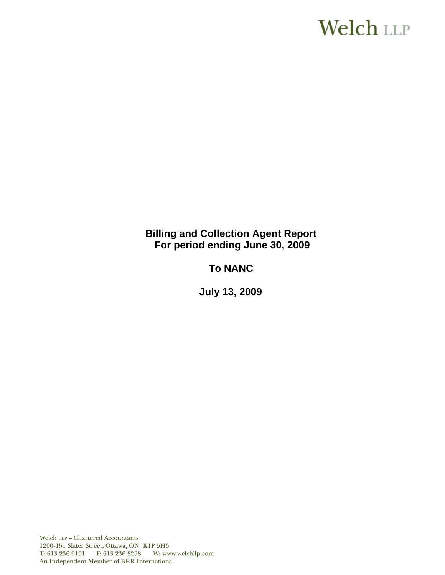# **Welch LLP**

**Billing and Collection Agent Report For period ending June 30, 2009**

**To NANC** 

 **July 13, 2009**

Welch LLP - Chartered Accountants 1200-151 Slater Street, Ottawa, ON K1P 5H3 T: 613 236 9191 F: 613 236 8258 W: www.welchllp.com An Independent Member of BKR International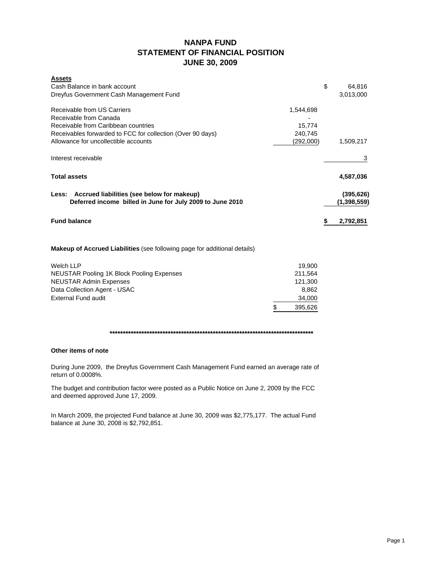## **NANPA FUND STATEMENT OF FINANCIAL POSITION JUNE 30, 2009**

| <b>Assets</b><br>Cash Balance in bank account<br>Dreyfus Government Cash Management Fund                                                                                                                                                          | \$<br>64.816<br>3,013,000   |
|---------------------------------------------------------------------------------------------------------------------------------------------------------------------------------------------------------------------------------------------------|-----------------------------|
| Receivable from US Carriers<br>1,544,698<br>Receivable from Canada<br>Receivable from Caribbean countries<br>15,774<br>Receivables forwarded to FCC for collection (Over 90 days)<br>240,745<br>Allowance for uncollectible accounts<br>(292,000) | 1,509,217                   |
| Interest receivable                                                                                                                                                                                                                               | 3                           |
| <b>Total assets</b>                                                                                                                                                                                                                               | 4,587,036                   |
| Less: Accrued liabilities (see below for makeup)<br>Deferred income billed in June for July 2009 to June 2010                                                                                                                                     | (395, 626)<br>(1, 398, 559) |
| <b>Fund balance</b>                                                                                                                                                                                                                               | \$<br>2,792,851             |
| <b>Makeup of Accrued Liabilities</b> (see following page for additional details)                                                                                                                                                                  |                             |
| <b>Welch LLP</b><br>19,900<br>NEUSTAR Pooling 1K Block Pooling Expenses<br>211.564<br><b>NEUSTAR Admin Expenses</b><br>121,300                                                                                                                    |                             |

Data Collection Agent - USAC 8,862 External Fund audit 34,000 \$ 395,626

**\*\*\*\*\*\*\*\*\*\*\*\*\*\*\*\*\*\*\*\*\*\*\*\*\*\*\*\*\*\*\*\*\*\*\*\*\*\*\*\*\*\*\*\*\*\*\*\*\*\*\*\*\*\*\*\*\*\*\*\*\*\*\*\*\*\*\*\*\*\*\*\*\*\*\*\*\***

#### **Other items of note**

During June 2009, the Dreyfus Government Cash Management Fund earned an average rate of return of 0.0008%.

The budget and contribution factor were posted as a Public Notice on June 2, 2009 by the FCC and deemed approved June 17, 2009.

In March 2009, the projected Fund balance at June 30, 2009 was \$2,775,177. The actual Fund balance at June 30, 2008 is \$2,792,851.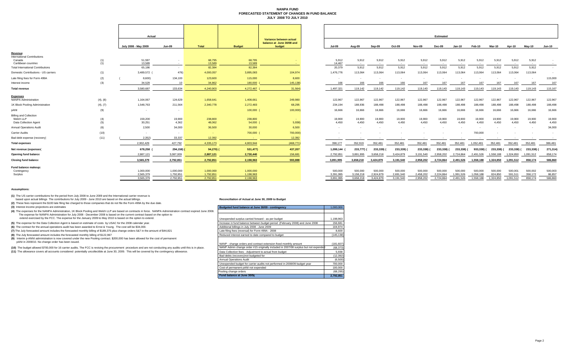#### **NANPA FUND FORECASTED STATEMENT OF CHANGES IN FUND BALANCE JULY 2008 TO JULY 2010**

|                                                                     |                | Actual                              |                                     |                                     |                                     |                                                                |                                   |                                   |                                   |                                   |                                   | <b>Estimated</b>                  |                                   |                                   |                                 |                                 |                               |                              |
|---------------------------------------------------------------------|----------------|-------------------------------------|-------------------------------------|-------------------------------------|-------------------------------------|----------------------------------------------------------------|-----------------------------------|-----------------------------------|-----------------------------------|-----------------------------------|-----------------------------------|-----------------------------------|-----------------------------------|-----------------------------------|---------------------------------|---------------------------------|-------------------------------|------------------------------|
|                                                                     |                | July 2008 - May 2009                | <b>Jun-09</b>                       | Total                               | <b>Budget</b>                       | Variance between actual<br>balance at June 30/08 and<br>budget | <b>Jul-09</b>                     | Aug-09                            | Sep-09                            | Oct-09                            | Nov-09                            | Dec-09                            | <b>Jan-10</b>                     | Feb-10                            | Mar-10                          | Apr-10                          | May-10                        | <b>Jun-10</b>                |
| Revenue<br><b>International Contributions</b>                       |                |                                     |                                     |                                     |                                     |                                                                |                                   |                                   |                                   |                                   |                                   |                                   |                                   |                                   |                                 |                                 |                               |                              |
| Canada<br>Caribbean countries                                       | $\binom{1}{1}$ | 51,597<br>13,589                    | $\sim$                              | 68,795<br>13,589                    | 68,795<br>13,589                    |                                                                | 5,912<br>14,467                   | 5,912                             | 5,912<br>$\sim$                   | 5,912                             | 5,912<br>$\sim$                   | 5,912                             | 5,912<br>$\sim$                   | 5,912                             | 5,912                           | 5,912                           | 5,912<br>$\sim$ $-$           | $\sim$                       |
| <b>Total International Contributions</b>                            |                | 65,186                              | $\sim$                              | 82,384                              | 82,384                              |                                                                | 20,379                            | 5,912                             | 5,912                             | 5,912                             | 5,912                             | 5,912                             | 5,912                             | 5,912                             | 5,912                           | 5,912                           | 5,912                         | $\sim$                       |
| Domestic Contributions - US carriers                                | (1)            | 3,489,572                           | 476)                                | 4,000,057                           | 3,895,083                           | 104,974                                                        | 1,476,776                         | 113,064                           | 113,064                           | 113,064                           | 113,064                           | 113,064                           | 113,064                           | 113,064                           | 113,064                         | 113,064                         | 113,064                       |                              |
| Late filing fees for Form 499A                                      | (2)            | 8,600)                              | 134,100                             | 123,600                             | 115,000                             | 8,600                                                          |                                   |                                   | $\sim$                            | $\sim$                            | $\sim$                            |                                   |                                   |                                   |                                 |                                 | $\sim$                        | 115,000                      |
| Interest income                                                     | (3)            | 34,529                              | 10                                  | 34,862                              | 180,000                             | 145,138)                                                       | 166                               | 166                               | 166                               | 166                               | 167                               | 167                               | 167                               | 167                               | 167                             | 167                             | 167                           | 167                          |
| <b>Total revenue</b>                                                |                | 3,580,687                           | 133,634                             | 4,240,903                           | 4,272,467                           | 31,564)                                                        | 1,497,321                         | 119,142                           | 119,142                           | 119,142                           | 119,143                           | 119.143                           | 119,143                           | 119,143                           | 119,143                         | 119,143                         | 119,143                       | 115,167                      |
| <b>Expenses</b>                                                     |                |                                     |                                     |                                     |                                     |                                                                |                                   |                                   |                                   |                                   |                                   |                                   |                                   |                                   |                                 |                                 |                               |                              |
| NANPA Administration                                                | (4), (8)       | 1,164,067                           | 124,629                             | 1,658,641                           | 1,408,661                           | 249,980                                                        | 122,967                           | 122,967                           | 122,967                           | 122,967                           | 122,967                           | 122,967                           | 122,967                           | 122,967                           | 122,967                         | 122,967                         | 122,967                       | 122,967                      |
| 1K Block Pooling Administration                                     | (4), (7)       | 1,548,763                           | 211,564                             | 2,340,778                           | 2,272,483                           | 68,295                                                         | 234,194                           | 188,936                           | 188,498                           | 188,498                           | 188,498                           | 188,498                           | 188,498                           | 188,498                           | 188,498                         | 188,498                         | 188,498                       | 188,498                      |
| pANI                                                                | (9)            | $\sim$                              |                                     |                                     | 100,000                             | 100,000                                                        | 16,666                            | 16,666                            | 16,666                            | 16,666                            | 16,666                            | 16,666                            | 16,666                            | 16,666                            | 16,666                          | 16,666                          | 16,666                        | 16,666                       |
| <b>Billing and Collection</b><br>Welch LLP<br>Data Collection Agent | (4)<br>(5)     | 159,200<br>30,251                   | 19,900<br>4,362                     | 238,800<br>48,062                   | 238,800<br>54,000                   | <b>Section</b><br>5,938                                        | 19,900<br>4,450                   | 19,900<br>4,450                   | 19,900<br>4,450                   | 19,900<br>4,450                   | 19,900<br>4,450                   | 19,900<br>4,450                   | 19,900<br>4,450                   | 19,900<br>4,450                   | 19,900<br>4,450                 | 19,900<br>4,450                 | 19,900<br>4,450               | 19,900<br>4,450              |
| Annual Operations Audit                                             | (6)            | 2,500                               | 34,000                              | 36,500                              | 30,000                              | 6,500                                                          |                                   |                                   | $\sim$                            | $\overline{\phantom{a}}$          |                                   |                                   |                                   |                                   |                                 |                                 |                               | 34,000                       |
| <b>Carrier Audits</b>                                               | (10)           | $\sim$                              | $\overline{\phantom{a}}$            |                                     | 700,000                             | 700,000)                                                       |                                   |                                   |                                   |                                   |                                   |                                   |                                   | 700,000                           |                                 |                                 |                               |                              |
| Bad debt expense (recovery)                                         | (11)           | 2,352)                              | 33,337                              | 12,392                              | <b>College</b>                      | 12,392                                                         |                                   |                                   |                                   |                                   |                                   |                                   |                                   |                                   | $\sim$                          | $\sim$                          |                               |                              |
| <b>Total expenses</b>                                               |                | 2,902,429                           | 427,792                             | 4,335,173                           | 4,803,944                           | (468, 771)                                                     | 398,177                           | 352,919                           | 352,481                           | 352,481                           | 352,481                           | 352,481                           | 352,481                           | 1,052,481                         | 352,481                         | 352,481                         | 352,481                       | 386,481                      |
| Net revenue (expenses)                                              |                | 678,258                             | 294,158)                            | $94,270$ ) (                        | 531,477)                            | 437,207                                                        | 1,099,144                         | 233,777) (                        | 233,339)                          | 233,339)                          | 233,338)                          | 233.338)                          | 233.338)                          | 933.338)                          | 233,338)                        | 233,338)                        | 233,338) (                    | 271,314)                     |
| Opening fund balance                                                |                | 2,887,121                           | 3,087,009                           | 2,887,121                           | 2,730,440                           | 156,681                                                        | 2,792,851                         | 3,891,995                         | 3,658,218                         | 3,424,879                         | 3,191,540                         | 2,958,202                         | 2,724,864                         | 2.491.526                         | 1.558.188                       | 1.324.850                       | 1,091,512                     | 858,174                      |
| <b>Closing fund balance</b>                                         |                | 3,565,379                           | 2,792,851                           | 2,792,851                           | 2,198,963                           | 593.888                                                        | 3.891.995                         | 3.658.218                         | 3.424.879                         | 3,191,540                         | 2,958,202                         | 2.724.864                         | 2,491,526                         | 1,558,188                         | 1,324,850                       | 1.091.512                       | 858,174                       | 586,860                      |
| Fund balance makeup:<br>Contingency<br>Surplus                      |                | 1,000,000<br>2,565,379<br>3.565.379 | 1,000,000<br>1,792,851<br>2,792,851 | 1,000,000<br>1,792,851<br>2,792,851 | 1,000,000<br>1,198,963<br>2,198,963 |                                                                | 500,000<br>3,391,995<br>3,891,995 | 500,000<br>3,158,218<br>3,658,218 | 500,000<br>2,924,879<br>3,424,879 | 500,000<br>2.691.540<br>3,191,540 | 500,000<br>2,458,202<br>2,958,202 | 500,000<br>2,224,864<br>2,724,864 | 500,000<br>1,991,526<br>2,491,526 | 500,000<br>1,058,188<br>1,558,188 | 500,000<br>824,850<br>1,324,850 | 500,001<br>591,511<br>1,091,512 | 500,002<br>358,172<br>858,174 | 500,003<br>86,857<br>586,860 |

#### **Assumptions:**

**(1)** The US carrier contributions for the period from July 2008 to June 2009 and the International carrier revenue is

based upon actual billings The contributions for July 2009 - June 2010 are based on the actual billings.

**(2)** These fees represent the \$100 late filing fee charged to those companies that do not file the Form 499A by the due date.

(3) Interest income projections are estimates<br>(4) The expenses for the NANPA Administration, 1K Block Pooling and Welch LLP are based on contracts in force. NANPA Administration contract expired June 2008. **Dudgeted fund b** extend exercised by the FCC. The expense for the January 2009 to May 2010 is based on the option to extend.

**(5)** The expense for the Data Collection Agent is based on estimate of costs by USAC for the 2008 calendar year.

**(6)** The contract for the annual operations audit has been awarded to Ernst & Young. The cost will be \$34,000.

(7) The July forecasted amount includes the forecasted monthly billing of \$189,375 plus change orders 5&7 in the amount of \$44,821

**(8)** The July forecasted amount includes the forecasted monthly billing of \$122,967

**(9)** Interim p-ANNI administration is now covered under the new Pooling contract. \$200,000 has been allowed for the cost of permanent pANI in 2009/10. No change order has been issued.

(10) The budget allowed \$700,000 for 16 carrier audits. The FCC is revising the procurement procedure and are not conducting any audits until this is in place.

(11) The allowance covers all accounts considered potentially uncollectible at June 30, 2009. This will be covered by the contingency allowance.

#### **Reconciliation of Actual at June 30, 2009 to Budget**

| Daugeted fand balance at oune ouros - contingency                                   | 1,000,000  |
|-------------------------------------------------------------------------------------|------------|
|                                                                                     |            |
|                                                                                     |            |
| Unexpended surplus carried forward - as per budget                                  | 1,198,963  |
| Increase in fund balance between budget period (February 2008) and June 2008        | 156,681    |
| Additional billings in July 2008 - June 2009                                        | 104.974    |
| Late filing fees (reversal) for Form 499A - 2008                                    | 8,600      |
| Reduced interest earned to date compared to budget                                  | (145, 138) |
|                                                                                     |            |
| NANP - change orders and contract extension fixed monthly amount                    | (181, 607) |
| NANP Admin change order #15 originally included in 2007/08 surplus but not expended | (68, 373)  |
| Data Collection fees - Adjustment to actual from budget                             | 5,938      |
| Bad debts (recovery) not budgeted for                                               | (12, 392)  |
| Annual Operations Audit                                                             | (6,500)    |
| Unexpended budget for carrier audits not performed in 2008/09 budget year           | 700,000    |
| Cost of permanent pANI not expended                                                 | 100,000    |
| Pooling change orders                                                               | (68, 295)  |
| Fund balance at June 30/09                                                          | 2.792.851  |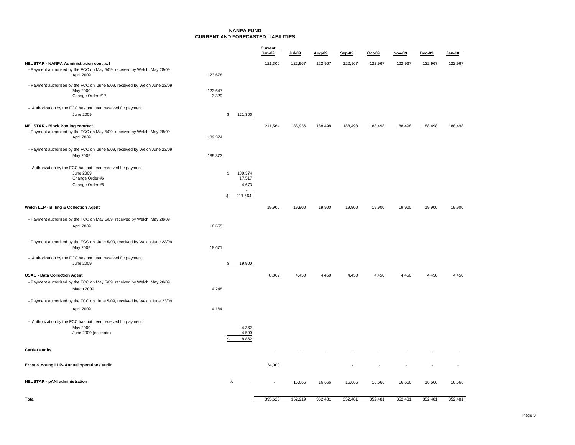#### **NANPA FUNDCURRENT AND FORECASTED LIABILITIES**

|                                                                                                                                   |                                | Current<br>Jun-09       | <u>Jul-09</u> | Aug-09  | Sep-09  | Oct-09  | Nov-09  | $Dec-09$ | Jan-10  |
|-----------------------------------------------------------------------------------------------------------------------------------|--------------------------------|-------------------------|---------------|---------|---------|---------|---------|----------|---------|
| <b>NEUSTAR - NANPA Administration contract</b>                                                                                    |                                | 121,300                 | 122,967       | 122,967 | 122,967 | 122,967 | 122,967 | 122,967  | 122,967 |
| - Payment authorized by the FCC on May 5/09, received by Welch May 28/09<br>April 2009                                            | 123,678                        |                         |               |         |         |         |         |          |         |
| - Payment authorized by the FCC on June 5/09, received by Welch June 23/09<br>May 2009<br>Change Order #17                        | 123,647<br>3,329               |                         |               |         |         |         |         |          |         |
| - Authorization by the FCC has not been received for payment<br><b>June 2009</b>                                                  | 121,300<br>\$                  |                         |               |         |         |         |         |          |         |
| <b>NEUSTAR - Block Pooling contract</b><br>- Payment authorized by the FCC on May 5/09, received by Welch May 28/09<br>April 2009 | 189,374                        | 211,564                 | 188,936       | 188,498 | 188,498 | 188,498 | 188,498 | 188,498  | 188,498 |
| - Payment authorized by the FCC on June 5/09, received by Welch June 23/09<br>May 2009                                            | 189,373                        |                         |               |         |         |         |         |          |         |
| - Authorization by the FCC has not been received for payment<br>June 2009<br>Change Order #6<br>Change Order #8                   | 189,374<br>s.<br>211,564<br>\$ | 17,517<br>4,673         |               |         |         |         |         |          |         |
| Welch LLP - Billing & Collection Agent                                                                                            |                                | 19,900                  | 19,900        | 19,900  | 19,900  | 19,900  | 19,900  | 19,900   | 19,900  |
| - Payment authorized by the FCC on May 5/09, received by Welch May 28/09                                                          |                                |                         |               |         |         |         |         |          |         |
| April 2009                                                                                                                        | 18,655                         |                         |               |         |         |         |         |          |         |
| - Payment authorized by the FCC on June 5/09, received by Welch June 23/09<br>May 2009                                            | 18,671                         |                         |               |         |         |         |         |          |         |
| - Authorization by the FCC has not been received for payment<br>June 2009                                                         | \$<br>19,900                   |                         |               |         |         |         |         |          |         |
| <b>USAC - Data Collection Agent</b>                                                                                               |                                | 8,862                   | 4,450         | 4.450   | 4,450   | 4.450   | 4,450   | 4,450    | 4,450   |
| - Payment authorized by the FCC on May 5/09, received by Welch May 28/09<br>March 2009                                            | 4,248                          |                         |               |         |         |         |         |          |         |
| - Payment authorized by the FCC on June 5/09, received by Welch June 23/09                                                        |                                |                         |               |         |         |         |         |          |         |
| April 2009                                                                                                                        | 4,164                          |                         |               |         |         |         |         |          |         |
| - Authorization by the FCC has not been received for payment<br>May 2009<br>June 2009 (estimate)                                  | \$.                            | 4,362<br>4,500<br>8,862 |               |         |         |         |         |          |         |
| <b>Carrier audits</b>                                                                                                             |                                |                         |               |         |         |         |         |          |         |
| Ernst & Young LLP- Annual operations audit                                                                                        |                                | 34,000                  |               |         |         |         |         |          |         |
| <b>NEUSTAR - pANI administration</b>                                                                                              | \$                             |                         | 16,666        | 16,666  | 16,666  | 16,666  | 16,666  | 16,666   | 16,666  |
| Total                                                                                                                             |                                | 395,626                 | 352,919       | 352,481 | 352,481 | 352,481 | 352,481 | 352,481  | 352,481 |